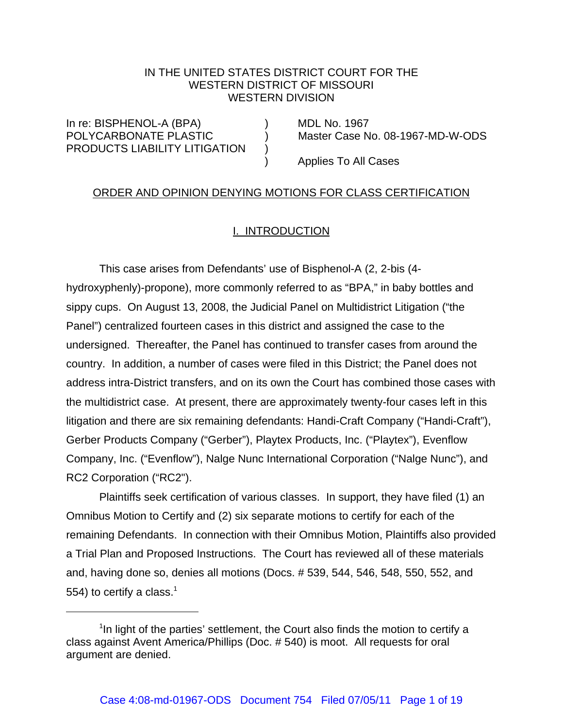# IN THE UNITED STATES DISTRICT COURT FOR THE WESTERN DISTRICT OF MISSOURI WESTERN DIVISION

In re: BISPHENOL-A (BPA) (BRA) PRODUCTS LIABILITY LITIGATION )

POLYCARBONATE PLASTIC ) Master Case No. 08-1967-MD-W-ODS

) Applies To All Cases

## ORDER AND OPINION DENYING MOTIONS FOR CLASS CERTIFICATION

## I. INTRODUCTION

This case arises from Defendants' use of Bisphenol-A (2, 2-bis (4 hydroxyphenly)-propone), more commonly referred to as "BPA," in baby bottles and sippy cups. On August 13, 2008, the Judicial Panel on Multidistrict Litigation ("the Panel") centralized fourteen cases in this district and assigned the case to the undersigned. Thereafter, the Panel has continued to transfer cases from around the country. In addition, a number of cases were filed in this District; the Panel does not address intra-District transfers, and on its own the Court has combined those cases with the multidistrict case. At present, there are approximately twenty-four cases left in this litigation and there are six remaining defendants: Handi-Craft Company ("Handi-Craft"), Gerber Products Company ("Gerber"), Playtex Products, Inc. ("Playtex"), Evenflow Company, Inc. ("Evenflow"), Nalge Nunc International Corporation ("Nalge Nunc"), and RC2 Corporation ("RC2").

Plaintiffs seek certification of various classes. In support, they have filed (1) an Omnibus Motion to Certify and (2) six separate motions to certify for each of the remaining Defendants. In connection with their Omnibus Motion, Plaintiffs also provided a Trial Plan and Proposed Instructions. The Court has reviewed all of these materials and, having done so, denies all motions (Docs. # 539, 544, 546, 548, 550, 552, and 554) to certify a class. $<sup>1</sup>$ </sup>

<sup>&</sup>lt;sup>1</sup>In light of the parties' settlement, the Court also finds the motion to certify a class against Avent America/Phillips (Doc. # 540) is moot. All requests for oral argument are denied.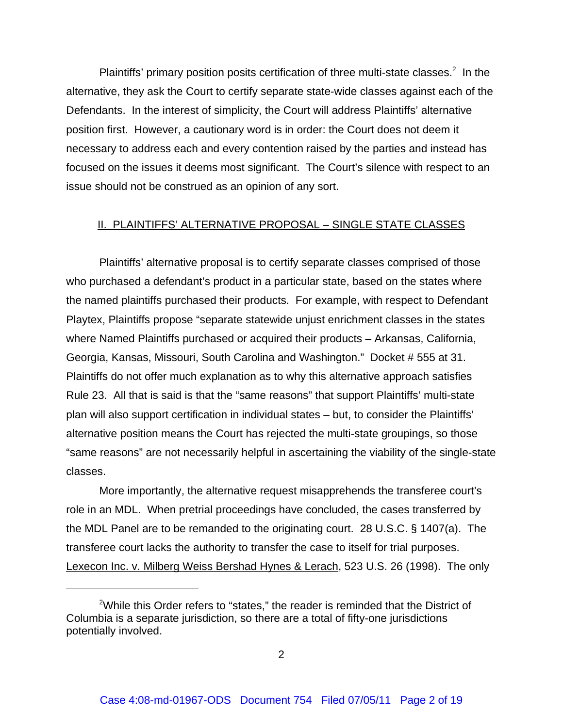Plaintiffs' primary position posits certification of three multi-state classes. $2$  In the alternative, they ask the Court to certify separate state-wide classes against each of the Defendants. In the interest of simplicity, the Court will address Plaintiffs' alternative position first. However, a cautionary word is in order: the Court does not deem it necessary to address each and every contention raised by the parties and instead has focused on the issues it deems most significant. The Court's silence with respect to an issue should not be construed as an opinion of any sort.

## II. PLAINTIFFS' ALTERNATIVE PROPOSAL – SINGLE STATE CLASSES

Plaintiffs' alternative proposal is to certify separate classes comprised of those who purchased a defendant's product in a particular state, based on the states where the named plaintiffs purchased their products. For example, with respect to Defendant Playtex, Plaintiffs propose "separate statewide unjust enrichment classes in the states where Named Plaintiffs purchased or acquired their products – Arkansas, California, Georgia, Kansas, Missouri, South Carolina and Washington." Docket # 555 at 31. Plaintiffs do not offer much explanation as to why this alternative approach satisfies Rule 23. All that is said is that the "same reasons" that support Plaintiffs' multi-state plan will also support certification in individual states – but, to consider the Plaintiffs' alternative position means the Court has rejected the multi-state groupings, so those "same reasons" are not necessarily helpful in ascertaining the viability of the single-state classes.

More importantly, the alternative request misapprehends the transferee court's role in an MDL. When pretrial proceedings have concluded, the cases transferred by the MDL Panel are to be remanded to the originating court. 28 U.S.C. § 1407(a). The transferee court lacks the authority to transfer the case to itself for trial purposes. Lexecon Inc. v. Milberg Weiss Bershad Hynes & Lerach, 523 U.S. 26 (1998). The only

<sup>&</sup>lt;sup>2</sup>While this Order refers to "states," the reader is reminded that the District of Columbia is a separate jurisdiction, so there are a total of fifty-one jurisdictions potentially involved.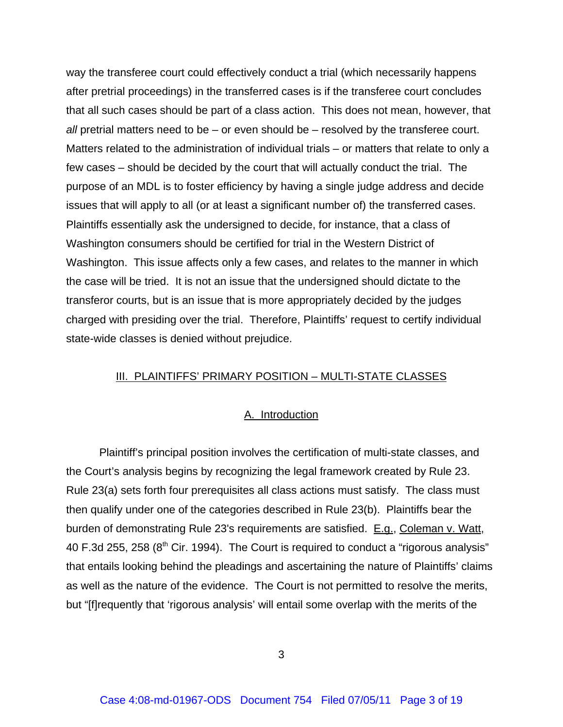way the transferee court could effectively conduct a trial (which necessarily happens after pretrial proceedings) in the transferred cases is if the transferee court concludes that all such cases should be part of a class action. This does not mean, however, that *all* pretrial matters need to be – or even should be – resolved by the transferee court. Matters related to the administration of individual trials – or matters that relate to only a few cases – should be decided by the court that will actually conduct the trial. The purpose of an MDL is to foster efficiency by having a single judge address and decide issues that will apply to all (or at least a significant number of) the transferred cases. Plaintiffs essentially ask the undersigned to decide, for instance, that a class of Washington consumers should be certified for trial in the Western District of Washington. This issue affects only a few cases, and relates to the manner in which the case will be tried. It is not an issue that the undersigned should dictate to the transferor courts, but is an issue that is more appropriately decided by the judges charged with presiding over the trial. Therefore, Plaintiffs' request to certify individual state-wide classes is denied without prejudice.

# III. PLAINTIFFS' PRIMARY POSITION – MULTI-STATE CLASSES

## A. Introduction

Plaintiff's principal position involves the certification of multi-state classes, and the Court's analysis begins by recognizing the legal framework created by Rule 23. Rule 23(a) sets forth four prerequisites all class actions must satisfy. The class must then qualify under one of the categories described in Rule 23(b). Plaintiffs bear the burden of demonstrating Rule 23's requirements are satisfied. E.g., Coleman v. Watt, 40 F.3d 255, 258 ( $8<sup>th</sup>$  Cir. 1994). The Court is required to conduct a "rigorous analysis" that entails looking behind the pleadings and ascertaining the nature of Plaintiffs' claims as well as the nature of the evidence. The Court is not permitted to resolve the merits, but "[f]requently that 'rigorous analysis' will entail some overlap with the merits of the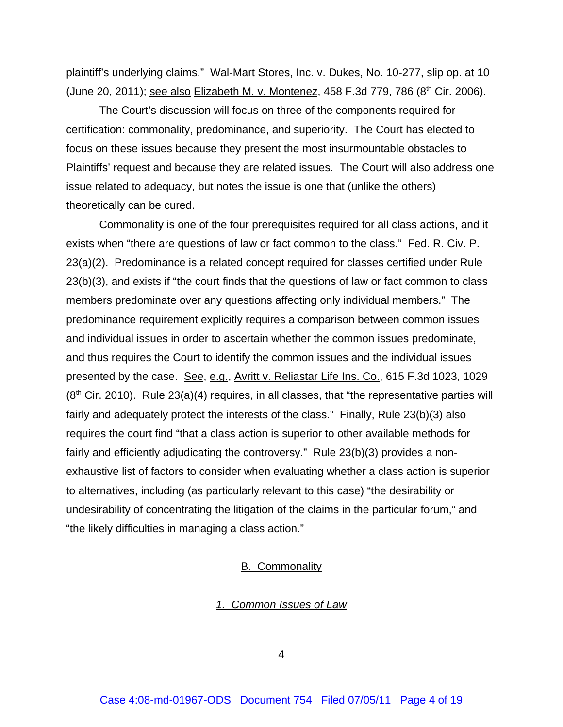plaintiff's underlying claims." Wal-Mart Stores, Inc. v. Dukes, No. 10-277, slip op. at 10 (June 20, 2011); see also Elizabeth M. v. Montenez, 458 F.3d 779, 786 (8<sup>th</sup> Cir. 2006).

The Court's discussion will focus on three of the components required for certification: commonality, predominance, and superiority. The Court has elected to focus on these issues because they present the most insurmountable obstacles to Plaintiffs' request and because they are related issues. The Court will also address one issue related to adequacy, but notes the issue is one that (unlike the others) theoretically can be cured.

Commonality is one of the four prerequisites required for all class actions, and it exists when "there are questions of law or fact common to the class." Fed. R. Civ. P. 23(a)(2). Predominance is a related concept required for classes certified under Rule 23(b)(3), and exists if "the court finds that the questions of law or fact common to class members predominate over any questions affecting only individual members." The predominance requirement explicitly requires a comparison between common issues and individual issues in order to ascertain whether the common issues predominate, and thus requires the Court to identify the common issues and the individual issues presented by the case. See, e.g., Avritt v. Reliastar Life Ins. Co., 615 F.3d 1023, 1029  $(8<sup>th</sup>$  Cir. 2010). Rule 23(a)(4) requires, in all classes, that "the representative parties will fairly and adequately protect the interests of the class." Finally, Rule 23(b)(3) also requires the court find "that a class action is superior to other available methods for fairly and efficiently adjudicating the controversy." Rule 23(b)(3) provides a nonexhaustive list of factors to consider when evaluating whether a class action is superior to alternatives, including (as particularly relevant to this case) "the desirability or undesirability of concentrating the litigation of the claims in the particular forum," and "the likely difficulties in managing a class action."

# B. Commonality

### *1. Common Issues of Law*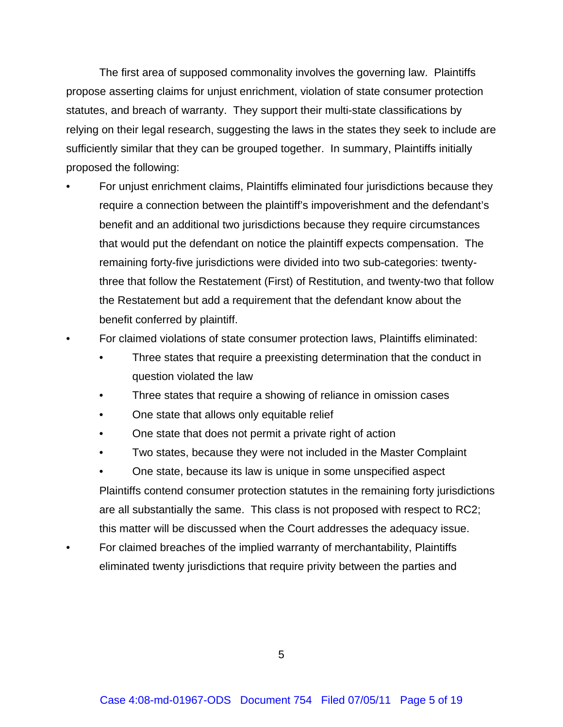The first area of supposed commonality involves the governing law. Plaintiffs propose asserting claims for unjust enrichment, violation of state consumer protection statutes, and breach of warranty. They support their multi-state classifications by relying on their legal research, suggesting the laws in the states they seek to include are sufficiently similar that they can be grouped together. In summary, Plaintiffs initially proposed the following:

- For unjust enrichment claims, Plaintiffs eliminated four jurisdictions because they require a connection between the plaintiff's impoverishment and the defendant's benefit and an additional two jurisdictions because they require circumstances that would put the defendant on notice the plaintiff expects compensation. The remaining forty-five jurisdictions were divided into two sub-categories: twentythree that follow the Restatement (First) of Restitution, and twenty-two that follow the Restatement but add a requirement that the defendant know about the benefit conferred by plaintiff.
- For claimed violations of state consumer protection laws, Plaintiffs eliminated:
	- Three states that require a preexisting determination that the conduct in question violated the law
	- Three states that require a showing of reliance in omission cases
	- One state that allows only equitable relief
	- One state that does not permit a private right of action
	- Two states, because they were not included in the Master Complaint
	- One state, because its law is unique in some unspecified aspect Plaintiffs contend consumer protection statutes in the remaining forty jurisdictions are all substantially the same. This class is not proposed with respect to RC2; this matter will be discussed when the Court addresses the adequacy issue.
- For claimed breaches of the implied warranty of merchantability, Plaintiffs eliminated twenty jurisdictions that require privity between the parties and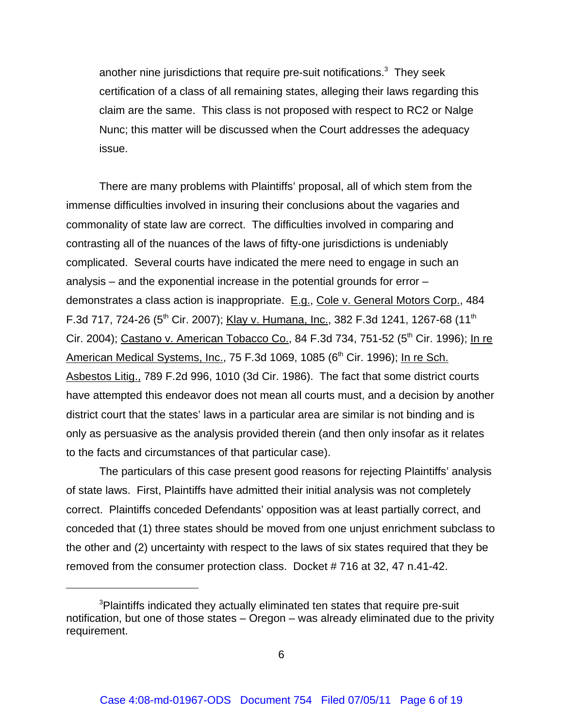another nine jurisdictions that require pre-suit notifications.<sup>3</sup> They seek certification of a class of all remaining states, alleging their laws regarding this claim are the same. This class is not proposed with respect to RC2 or Nalge Nunc; this matter will be discussed when the Court addresses the adequacy issue.

There are many problems with Plaintiffs' proposal, all of which stem from the immense difficulties involved in insuring their conclusions about the vagaries and commonality of state law are correct. The difficulties involved in comparing and contrasting all of the nuances of the laws of fifty-one jurisdictions is undeniably complicated. Several courts have indicated the mere need to engage in such an analysis – and the exponential increase in the potential grounds for error – demonstrates a class action is inappropriate. E.g., Cole v. General Motors Corp., 484 F.3d 717, 724-26 (5<sup>th</sup> Cir. 2007); Klay v. Humana, Inc., 382 F.3d 1241, 1267-68 (11<sup>th</sup> Cir. 2004); Castano v. American Tobacco Co., 84 F.3d 734, 751-52 (5<sup>th</sup> Cir. 1996); In re American Medical Systems, Inc., 75 F.3d 1069, 1085 (6<sup>th</sup> Cir. 1996); In re Sch. Asbestos Litig., 789 F.2d 996, 1010 (3d Cir. 1986). The fact that some district courts have attempted this endeavor does not mean all courts must, and a decision by another district court that the states' laws in a particular area are similar is not binding and is only as persuasive as the analysis provided therein (and then only insofar as it relates to the facts and circumstances of that particular case).

The particulars of this case present good reasons for rejecting Plaintiffs' analysis of state laws. First, Plaintiffs have admitted their initial analysis was not completely correct. Plaintiffs conceded Defendants' opposition was at least partially correct, and conceded that (1) three states should be moved from one unjust enrichment subclass to the other and (2) uncertainty with respect to the laws of six states required that they be removed from the consumer protection class. Docket # 716 at 32, 47 n.41-42.

<sup>&</sup>lt;sup>3</sup>Plaintiffs indicated they actually eliminated ten states that require pre-suit notification, but one of those states – Oregon – was already eliminated due to the privity requirement.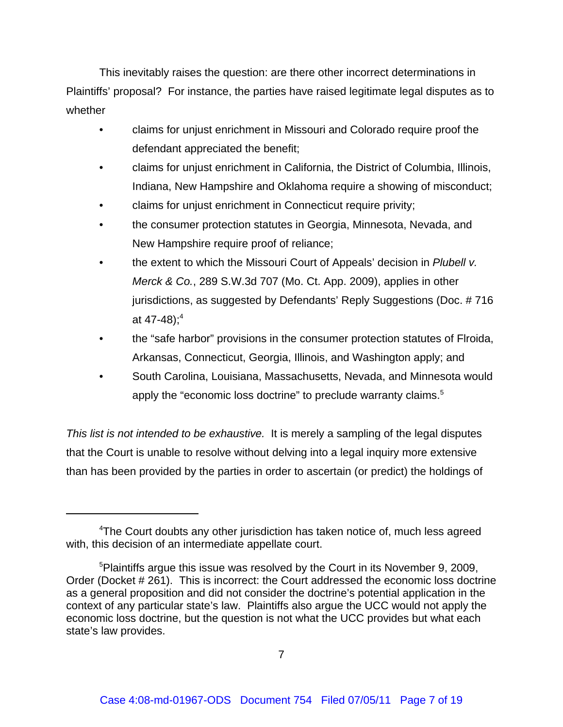This inevitably raises the question: are there other incorrect determinations in Plaintiffs' proposal? For instance, the parties have raised legitimate legal disputes as to whether

- claims for unjust enrichment in Missouri and Colorado require proof the defendant appreciated the benefit;
- claims for unjust enrichment in California, the District of Columbia, Illinois, Indiana, New Hampshire and Oklahoma require a showing of misconduct;
- claims for unjust enrichment in Connecticut require privity;
- the consumer protection statutes in Georgia, Minnesota, Nevada, and New Hampshire require proof of reliance;
- the extent to which the Missouri Court of Appeals' decision in *Plubell v. Merck & Co.*, 289 S.W.3d 707 (Mo. Ct. App. 2009), applies in other jurisdictions, as suggested by Defendants' Reply Suggestions (Doc. # 716 at 47-48);<sup>4</sup>
- the "safe harbor" provisions in the consumer protection statutes of Flroida, Arkansas, Connecticut, Georgia, Illinois, and Washington apply; and
- South Carolina, Louisiana, Massachusetts, Nevada, and Minnesota would apply the "economic loss doctrine" to preclude warranty claims.<sup>5</sup>

*This list is not intended to be exhaustive.* It is merely a sampling of the legal disputes that the Court is unable to resolve without delving into a legal inquiry more extensive than has been provided by the parties in order to ascertain (or predict) the holdings of

<sup>&</sup>lt;sup>4</sup>The Court doubts any other jurisdiction has taken notice of, much less agreed with, this decision of an intermediate appellate court.

<sup>&</sup>lt;sup>5</sup>Plaintiffs argue this issue was resolved by the Court in its November 9, 2009, Order (Docket # 261). This is incorrect: the Court addressed the economic loss doctrine as a general proposition and did not consider the doctrine's potential application in the context of any particular state's law. Plaintiffs also argue the UCC would not apply the economic loss doctrine, but the question is not what the UCC provides but what each state's law provides.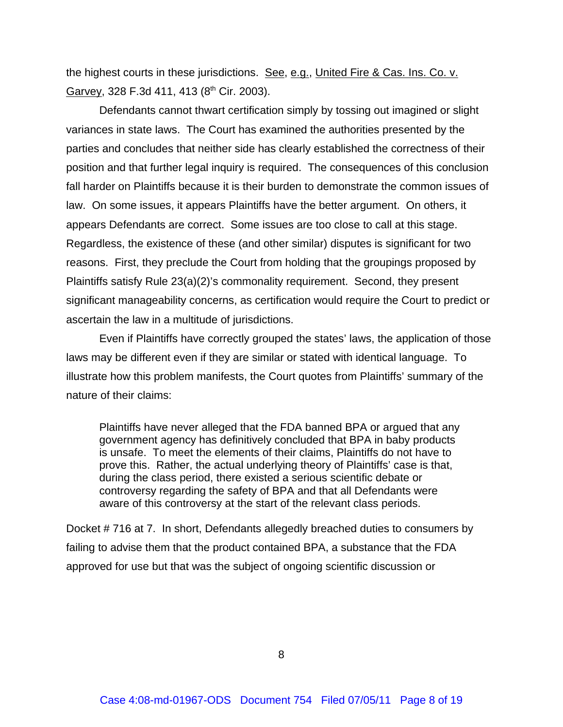the highest courts in these jurisdictions. See, e.g., United Fire & Cas. Ins. Co. v. Garvey, 328 F.3d 411, 413 (8<sup>th</sup> Cir. 2003).

Defendants cannot thwart certification simply by tossing out imagined or slight variances in state laws. The Court has examined the authorities presented by the parties and concludes that neither side has clearly established the correctness of their position and that further legal inquiry is required. The consequences of this conclusion fall harder on Plaintiffs because it is their burden to demonstrate the common issues of law. On some issues, it appears Plaintiffs have the better argument. On others, it appears Defendants are correct. Some issues are too close to call at this stage. Regardless, the existence of these (and other similar) disputes is significant for two reasons. First, they preclude the Court from holding that the groupings proposed by Plaintiffs satisfy Rule 23(a)(2)'s commonality requirement. Second, they present significant manageability concerns, as certification would require the Court to predict or ascertain the law in a multitude of jurisdictions.

Even if Plaintiffs have correctly grouped the states' laws, the application of those laws may be different even if they are similar or stated with identical language. To illustrate how this problem manifests, the Court quotes from Plaintiffs' summary of the nature of their claims:

Plaintiffs have never alleged that the FDA banned BPA or argued that any government agency has definitively concluded that BPA in baby products is unsafe. To meet the elements of their claims, Plaintiffs do not have to prove this. Rather, the actual underlying theory of Plaintiffs' case is that, during the class period, there existed a serious scientific debate or controversy regarding the safety of BPA and that all Defendants were aware of this controversy at the start of the relevant class periods.

Docket # 716 at 7. In short, Defendants allegedly breached duties to consumers by failing to advise them that the product contained BPA, a substance that the FDA approved for use but that was the subject of ongoing scientific discussion or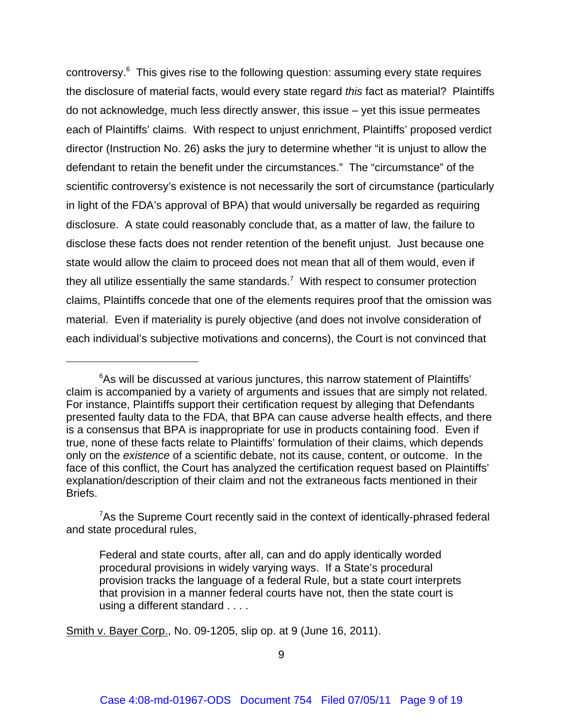controversy.<sup>6</sup> This gives rise to the following question: assuming every state requires the disclosure of material facts, would every state regard *this* fact as material? Plaintiffs do not acknowledge, much less directly answer, this issue – yet this issue permeates each of Plaintiffs' claims. With respect to unjust enrichment, Plaintiffs' proposed verdict director (Instruction No. 26) asks the jury to determine whether "it is unjust to allow the defendant to retain the benefit under the circumstances." The "circumstance" of the scientific controversy's existence is not necessarily the sort of circumstance (particularly in light of the FDA's approval of BPA) that would universally be regarded as requiring disclosure. A state could reasonably conclude that, as a matter of law, the failure to disclose these facts does not render retention of the benefit unjust. Just because one state would allow the claim to proceed does not mean that all of them would, even if they all utilize essentially the same standards.<sup>7</sup> With respect to consumer protection claims, Plaintiffs concede that one of the elements requires proof that the omission was material. Even if materiality is purely objective (and does not involve consideration of each individual's subjective motivations and concerns), the Court is not convinced that

Smith v. Bayer Corp., No. 09-1205, slip op. at 9 (June 16, 2011).

<sup>&</sup>lt;sup>6</sup>As will be discussed at various junctures, this narrow statement of Plaintiffs' claim is accompanied by a variety of arguments and issues that are simply not related. For instance, Plaintiffs support their certification request by alleging that Defendants presented faulty data to the FDA, that BPA can cause adverse health effects, and there is a consensus that BPA is inappropriate for use in products containing food. Even if true, none of these facts relate to Plaintiffs' formulation of their claims, which depends only on the *existence* of a scientific debate, not its cause, content, or outcome. In the face of this conflict, the Court has analyzed the certification request based on Plaintiffs' explanation/description of their claim and not the extraneous facts mentioned in their Briefs.

<sup>&</sup>lt;sup>7</sup>As the Supreme Court recently said in the context of identically-phrased federal and state procedural rules,

Federal and state courts, after all, can and do apply identically worded procedural provisions in widely varying ways. If a State's procedural provision tracks the language of a federal Rule, but a state court interprets that provision in a manner federal courts have not, then the state court is using a different standard . . . .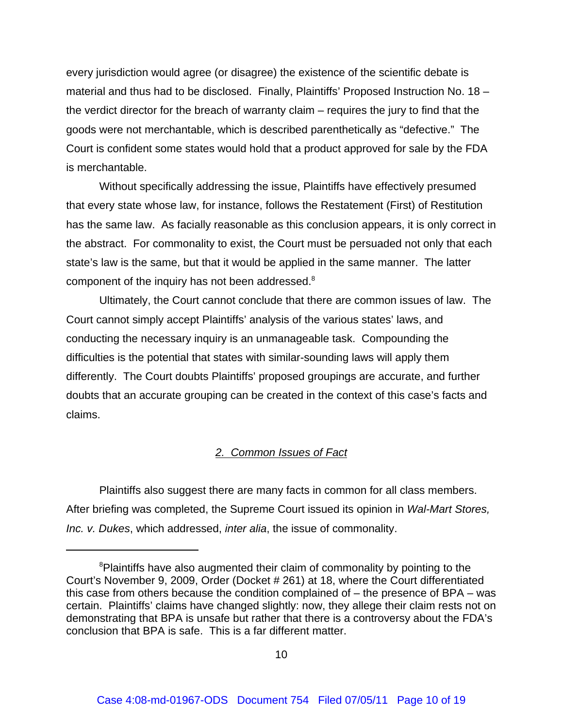every jurisdiction would agree (or disagree) the existence of the scientific debate is material and thus had to be disclosed. Finally, Plaintiffs' Proposed Instruction No. 18 – the verdict director for the breach of warranty claim – requires the jury to find that the goods were not merchantable, which is described parenthetically as "defective." The Court is confident some states would hold that a product approved for sale by the FDA is merchantable.

Without specifically addressing the issue, Plaintiffs have effectively presumed that every state whose law, for instance, follows the Restatement (First) of Restitution has the same law. As facially reasonable as this conclusion appears, it is only correct in the abstract. For commonality to exist, the Court must be persuaded not only that each state's law is the same, but that it would be applied in the same manner. The latter component of the inquiry has not been addressed.<sup>8</sup>

Ultimately, the Court cannot conclude that there are common issues of law. The Court cannot simply accept Plaintiffs' analysis of the various states' laws, and conducting the necessary inquiry is an unmanageable task. Compounding the difficulties is the potential that states with similar-sounding laws will apply them differently. The Court doubts Plaintiffs' proposed groupings are accurate, and further doubts that an accurate grouping can be created in the context of this case's facts and claims.

# *2. Common Issues of Fact*

Plaintiffs also suggest there are many facts in common for all class members. After briefing was completed, the Supreme Court issued its opinion in *Wal-Mart Stores, Inc. v. Dukes*, which addressed, *inter alia*, the issue of commonality.

<sup>&</sup>lt;sup>8</sup>Plaintiffs have also augmented their claim of commonality by pointing to the Court's November 9, 2009, Order (Docket # 261) at 18, where the Court differentiated this case from others because the condition complained of – the presence of BPA – was certain. Plaintiffs' claims have changed slightly: now, they allege their claim rests not on demonstrating that BPA is unsafe but rather that there is a controversy about the FDA's conclusion that BPA is safe. This is a far different matter.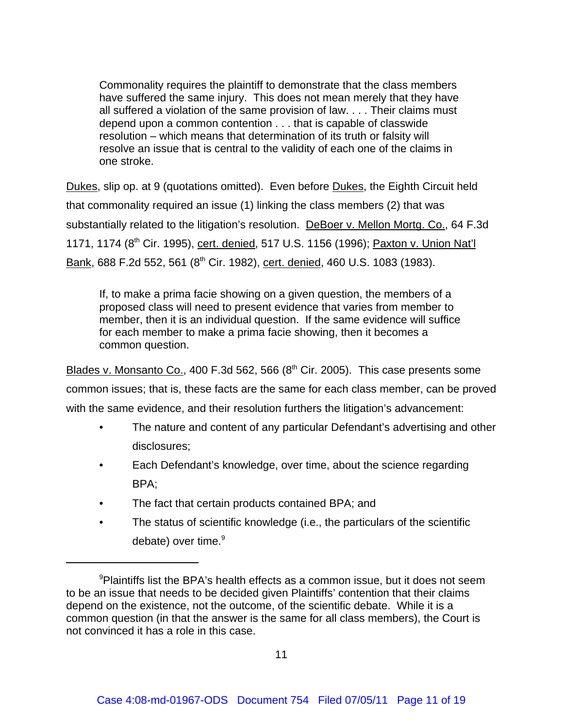Commonality requires the plaintiff to demonstrate that the class members have suffered the same injury. This does not mean merely that they have all suffered a violation of the same provision of law. . . . Their claims must depend upon a common contention . . . that is capable of classwide resolution – which means that determination of its truth or falsity will resolve an issue that is central to the validity of each one of the claims in one stroke.

Dukes, slip op. at 9 (quotations omitted). Even before Dukes, the Eighth Circuit held that commonality required an issue (1) linking the class members (2) that was substantially related to the litigation's resolution. DeBoer v. Mellon Mortg. Co., 64 F.3d 1171, 1174 (8<sup>th</sup> Cir. 1995), cert. denied, 517 U.S. 1156 (1996); Paxton v. Union Nat'l Bank, 688 F.2d 552, 561 (8<sup>th</sup> Cir. 1982), cert. denied, 460 U.S. 1083 (1983).

If, to make a prima facie showing on a given question, the members of a proposed class will need to present evidence that varies from member to member, then it is an individual question. If the same evidence will suffice for each member to make a prima facie showing, then it becomes a common question.

Blades v. Monsanto Co., 400 F.3d 562, 566  $(8<sup>th</sup>$  Cir. 2005). This case presents some common issues; that is, these facts are the same for each class member, can be proved with the same evidence, and their resolution furthers the litigation's advancement:

- The nature and content of any particular Defendant's advertising and other disclosures;
- Each Defendant's knowledge, over time, about the science regarding BPA;
- The fact that certain products contained BPA; and
- The status of scientific knowledge (i.e., the particulars of the scientific debate) over time. $9$

<sup>&</sup>lt;sup>9</sup>Plaintiffs list the BPA's health effects as a common issue, but it does not seem to be an issue that needs to be decided given Plaintiffs' contention that their claims depend on the existence, not the outcome, of the scientific debate. While it is a common question (in that the answer is the same for all class members), the Court is not convinced it has a role in this case.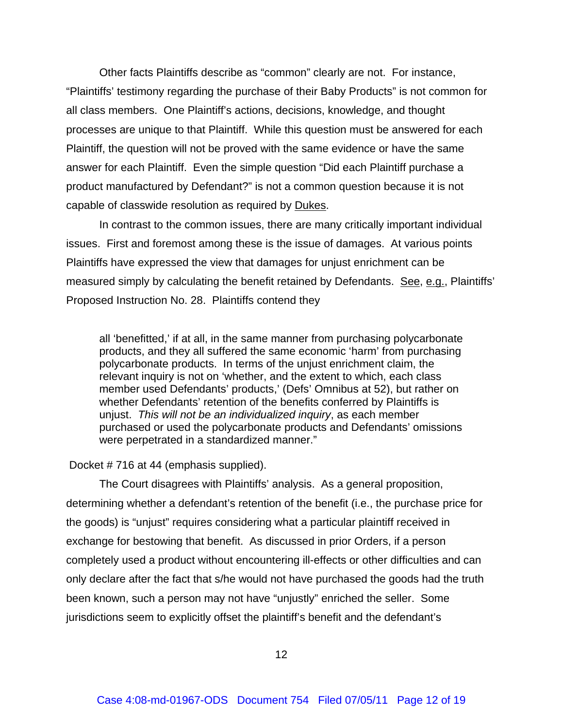Other facts Plaintiffs describe as "common" clearly are not. For instance, "Plaintiffs' testimony regarding the purchase of their Baby Products" is not common for all class members. One Plaintiff's actions, decisions, knowledge, and thought processes are unique to that Plaintiff. While this question must be answered for each Plaintiff, the question will not be proved with the same evidence or have the same answer for each Plaintiff. Even the simple question "Did each Plaintiff purchase a product manufactured by Defendant?" is not a common question because it is not capable of classwide resolution as required by Dukes.

In contrast to the common issues, there are many critically important individual issues. First and foremost among these is the issue of damages. At various points Plaintiffs have expressed the view that damages for unjust enrichment can be measured simply by calculating the benefit retained by Defendants. See, e.g., Plaintiffs' Proposed Instruction No. 28. Plaintiffs contend they

all 'benefitted,' if at all, in the same manner from purchasing polycarbonate products, and they all suffered the same economic 'harm' from purchasing polycarbonate products. In terms of the unjust enrichment claim, the relevant inquiry is not on 'whether, and the extent to which, each class member used Defendants' products,' (Defs' Omnibus at 52), but rather on whether Defendants' retention of the benefits conferred by Plaintiffs is unjust. *This will not be an individualized inquiry*, as each member purchased or used the polycarbonate products and Defendants' omissions were perpetrated in a standardized manner."

Docket # 716 at 44 (emphasis supplied).

The Court disagrees with Plaintiffs' analysis. As a general proposition, determining whether a defendant's retention of the benefit (i.e., the purchase price for the goods) is "unjust" requires considering what a particular plaintiff received in exchange for bestowing that benefit. As discussed in prior Orders, if a person completely used a product without encountering ill-effects or other difficulties and can only declare after the fact that s/he would not have purchased the goods had the truth been known, such a person may not have "unjustly" enriched the seller. Some jurisdictions seem to explicitly offset the plaintiff's benefit and the defendant's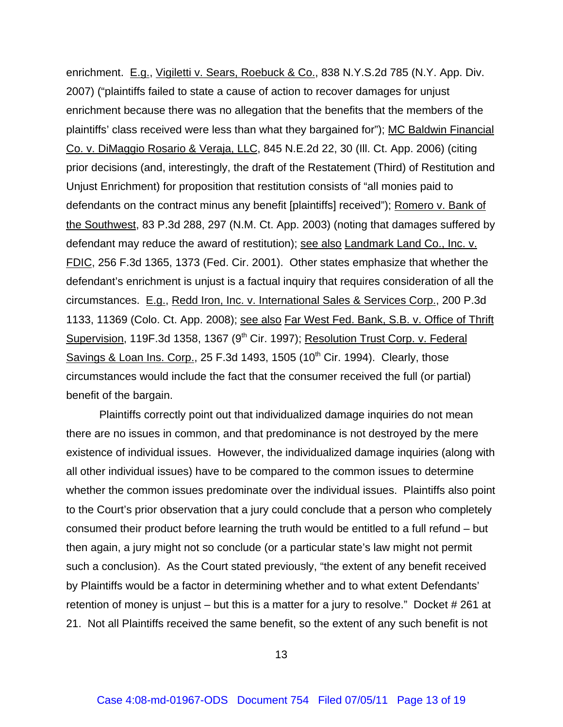enrichment. E.g., Vigiletti v. Sears, Roebuck & Co., 838 N.Y.S.2d 785 (N.Y. App. Div. 2007) ("plaintiffs failed to state a cause of action to recover damages for unjust enrichment because there was no allegation that the benefits that the members of the plaintiffs' class received were less than what they bargained for"); MC Baldwin Financial Co. v. DiMaggio Rosario & Veraja, LLC, 845 N.E.2d 22, 30 (Ill. Ct. App. 2006) (citing prior decisions (and, interestingly, the draft of the Restatement (Third) of Restitution and Unjust Enrichment) for proposition that restitution consists of "all monies paid to defendants on the contract minus any benefit [plaintiffs] received"); Romero v. Bank of the Southwest, 83 P.3d 288, 297 (N.M. Ct. App. 2003) (noting that damages suffered by defendant may reduce the award of restitution); see also Landmark Land Co., Inc. v. FDIC, 256 F.3d 1365, 1373 (Fed. Cir. 2001). Other states emphasize that whether the defendant's enrichment is unjust is a factual inquiry that requires consideration of all the circumstances. E.g., Redd Iron, Inc. v. International Sales & Services Corp., 200 P.3d 1133, 11369 (Colo. Ct. App. 2008); see also Far West Fed. Bank, S.B. v. Office of Thrift Supervision, 119F.3d 1358, 1367 (9<sup>th</sup> Cir. 1997); Resolution Trust Corp. v. Federal Savings & Loan Ins. Corp., 25 F.3d 1493, 1505 (10<sup>th</sup> Cir. 1994). Clearly, those circumstances would include the fact that the consumer received the full (or partial) benefit of the bargain.

Plaintiffs correctly point out that individualized damage inquiries do not mean there are no issues in common, and that predominance is not destroyed by the mere existence of individual issues. However, the individualized damage inquiries (along with all other individual issues) have to be compared to the common issues to determine whether the common issues predominate over the individual issues. Plaintiffs also point to the Court's prior observation that a jury could conclude that a person who completely consumed their product before learning the truth would be entitled to a full refund – but then again, a jury might not so conclude (or a particular state's law might not permit such a conclusion). As the Court stated previously, "the extent of any benefit received by Plaintiffs would be a factor in determining whether and to what extent Defendants' retention of money is unjust – but this is a matter for a jury to resolve." Docket # 261 at 21. Not all Plaintiffs received the same benefit, so the extent of any such benefit is not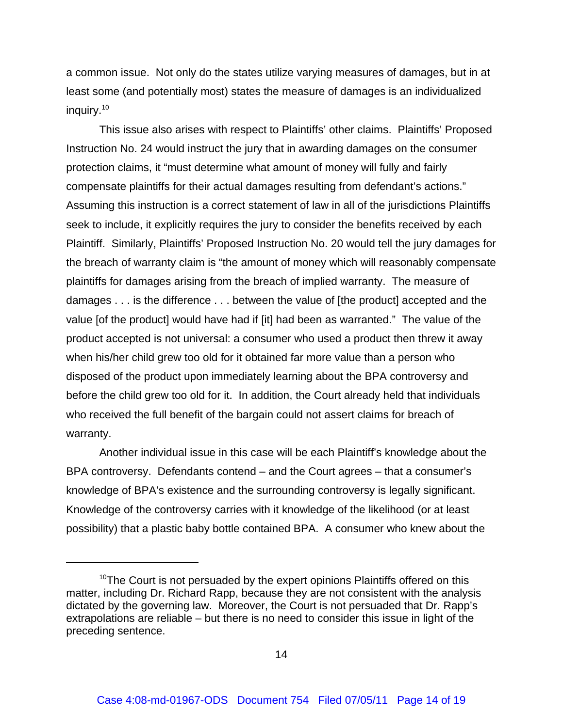a common issue. Not only do the states utilize varying measures of damages, but in at least some (and potentially most) states the measure of damages is an individualized inquiry.<sup>10</sup>

This issue also arises with respect to Plaintiffs' other claims. Plaintiffs' Proposed Instruction No. 24 would instruct the jury that in awarding damages on the consumer protection claims, it "must determine what amount of money will fully and fairly compensate plaintiffs for their actual damages resulting from defendant's actions." Assuming this instruction is a correct statement of law in all of the jurisdictions Plaintiffs seek to include, it explicitly requires the jury to consider the benefits received by each Plaintiff. Similarly, Plaintiffs' Proposed Instruction No. 20 would tell the jury damages for the breach of warranty claim is "the amount of money which will reasonably compensate plaintiffs for damages arising from the breach of implied warranty. The measure of damages . . . is the difference . . . between the value of [the product] accepted and the value [of the product] would have had if [it] had been as warranted." The value of the product accepted is not universal: a consumer who used a product then threw it away when his/her child grew too old for it obtained far more value than a person who disposed of the product upon immediately learning about the BPA controversy and before the child grew too old for it. In addition, the Court already held that individuals who received the full benefit of the bargain could not assert claims for breach of warranty.

Another individual issue in this case will be each Plaintiff's knowledge about the BPA controversy. Defendants contend – and the Court agrees – that a consumer's knowledge of BPA's existence and the surrounding controversy is legally significant. Knowledge of the controversy carries with it knowledge of the likelihood (or at least possibility) that a plastic baby bottle contained BPA. A consumer who knew about the

<sup>&</sup>lt;sup>10</sup>The Court is not persuaded by the expert opinions Plaintiffs offered on this matter, including Dr. Richard Rapp, because they are not consistent with the analysis dictated by the governing law. Moreover, the Court is not persuaded that Dr. Rapp's extrapolations are reliable – but there is no need to consider this issue in light of the preceding sentence.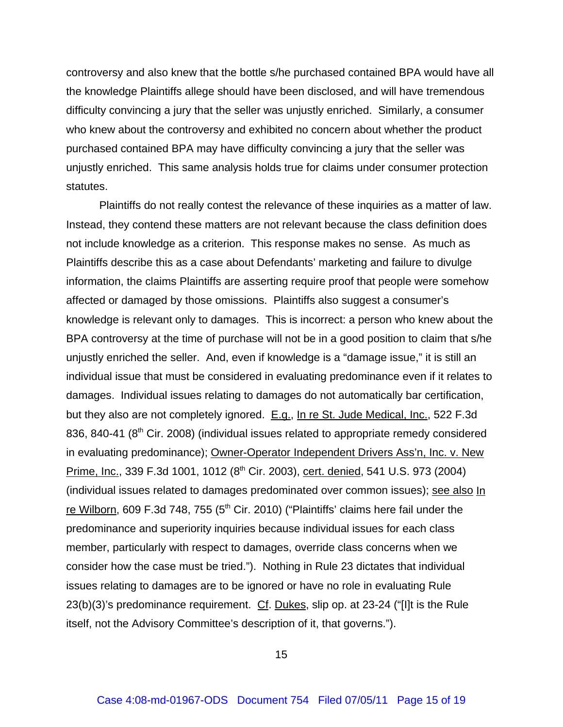controversy and also knew that the bottle s/he purchased contained BPA would have all the knowledge Plaintiffs allege should have been disclosed, and will have tremendous difficulty convincing a jury that the seller was unjustly enriched. Similarly, a consumer who knew about the controversy and exhibited no concern about whether the product purchased contained BPA may have difficulty convincing a jury that the seller was unjustly enriched. This same analysis holds true for claims under consumer protection statutes.

Plaintiffs do not really contest the relevance of these inquiries as a matter of law. Instead, they contend these matters are not relevant because the class definition does not include knowledge as a criterion. This response makes no sense. As much as Plaintiffs describe this as a case about Defendants' marketing and failure to divulge information, the claims Plaintiffs are asserting require proof that people were somehow affected or damaged by those omissions. Plaintiffs also suggest a consumer's knowledge is relevant only to damages. This is incorrect: a person who knew about the BPA controversy at the time of purchase will not be in a good position to claim that s/he unjustly enriched the seller. And, even if knowledge is a "damage issue," it is still an individual issue that must be considered in evaluating predominance even if it relates to damages. Individual issues relating to damages do not automatically bar certification, but they also are not completely ignored. E.g., In re St. Jude Medical, Inc., 522 F.3d 836, 840-41 ( $8<sup>th</sup>$  Cir. 2008) (individual issues related to appropriate remedy considered in evaluating predominance); Owner-Operator Independent Drivers Ass'n, Inc. v. New Prime, Inc., 339 F.3d 1001, 1012 (8<sup>th</sup> Cir. 2003), cert. denied, 541 U.S. 973 (2004) (individual issues related to damages predominated over common issues); see also In re Wilborn, 609 F.3d 748, 755 (5<sup>th</sup> Cir. 2010) ("Plaintiffs' claims here fail under the predominance and superiority inquiries because individual issues for each class member, particularly with respect to damages, override class concerns when we consider how the case must be tried."). Nothing in Rule 23 dictates that individual issues relating to damages are to be ignored or have no role in evaluating Rule 23(b)(3)'s predominance requirement. Cf. Dukes, slip op. at 23-24 ("[I]t is the Rule itself, not the Advisory Committee's description of it, that governs.").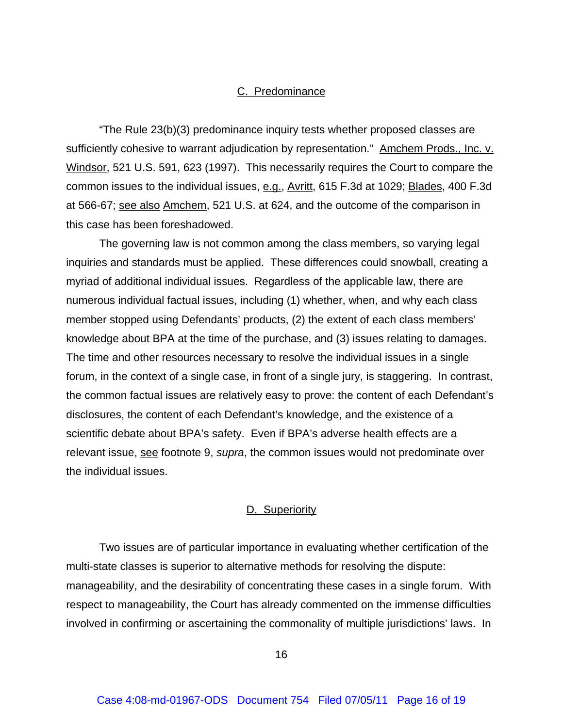## C. Predominance

"The Rule 23(b)(3) predominance inquiry tests whether proposed classes are sufficiently cohesive to warrant adjudication by representation." Amchem Prods., Inc. v. Windsor, 521 U.S. 591, 623 (1997). This necessarily requires the Court to compare the common issues to the individual issues, e.g., Avritt, 615 F.3d at 1029; Blades, 400 F.3d at 566-67; see also Amchem, 521 U.S. at 624, and the outcome of the comparison in this case has been foreshadowed.

The governing law is not common among the class members, so varying legal inquiries and standards must be applied. These differences could snowball, creating a myriad of additional individual issues. Regardless of the applicable law, there are numerous individual factual issues, including (1) whether, when, and why each class member stopped using Defendants' products, (2) the extent of each class members' knowledge about BPA at the time of the purchase, and (3) issues relating to damages. The time and other resources necessary to resolve the individual issues in a single forum, in the context of a single case, in front of a single jury, is staggering. In contrast, the common factual issues are relatively easy to prove: the content of each Defendant's disclosures, the content of each Defendant's knowledge, and the existence of a scientific debate about BPA's safety. Even if BPA's adverse health effects are a relevant issue, see footnote 9, *supra*, the common issues would not predominate over the individual issues.

# D. Superiority

Two issues are of particular importance in evaluating whether certification of the multi-state classes is superior to alternative methods for resolving the dispute: manageability, and the desirability of concentrating these cases in a single forum. With respect to manageability, the Court has already commented on the immense difficulties involved in confirming or ascertaining the commonality of multiple jurisdictions' laws. In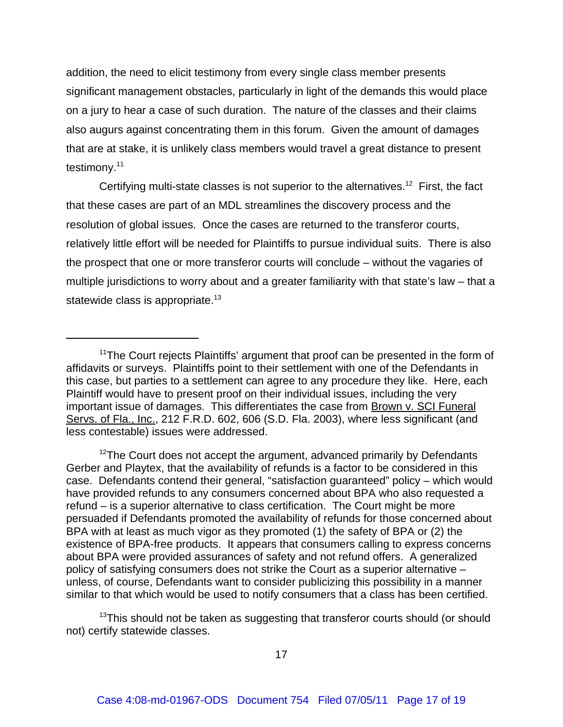addition, the need to elicit testimony from every single class member presents significant management obstacles, particularly in light of the demands this would place on a jury to hear a case of such duration. The nature of the classes and their claims also augurs against concentrating them in this forum. Given the amount of damages that are at stake, it is unlikely class members would travel a great distance to present testimony.<sup>11</sup>

Certifying multi-state classes is not superior to the alternatives.<sup>12</sup> First, the fact that these cases are part of an MDL streamlines the discovery process and the resolution of global issues. Once the cases are returned to the transferor courts, relatively little effort will be needed for Plaintiffs to pursue individual suits. There is also the prospect that one or more transferor courts will conclude – without the vagaries of multiple jurisdictions to worry about and a greater familiarity with that state's law – that a statewide class is appropriate.<sup>13</sup>

 $12$ The Court does not accept the argument, advanced primarily by Defendants Gerber and Playtex, that the availability of refunds is a factor to be considered in this case. Defendants contend their general, "satisfaction guaranteed" policy – which would have provided refunds to any consumers concerned about BPA who also requested a refund – is a superior alternative to class certification. The Court might be more persuaded if Defendants promoted the availability of refunds for those concerned about BPA with at least as much vigor as they promoted (1) the safety of BPA or (2) the existence of BPA-free products. It appears that consumers calling to express concerns about BPA were provided assurances of safety and not refund offers. A generalized policy of satisfying consumers does not strike the Court as a superior alternative – unless, of course, Defendants want to consider publicizing this possibility in a manner similar to that which would be used to notify consumers that a class has been certified.

 $13$ This should not be taken as suggesting that transferor courts should (or should not) certify statewide classes.

<sup>&</sup>lt;sup>11</sup>The Court rejects Plaintiffs' argument that proof can be presented in the form of affidavits or surveys. Plaintiffs point to their settlement with one of the Defendants in this case, but parties to a settlement can agree to any procedure they like. Here, each Plaintiff would have to present proof on their individual issues, including the very important issue of damages. This differentiates the case from Brown v. SCI Funeral Servs. of Fla., Inc., 212 F.R.D. 602, 606 (S.D. Fla. 2003), where less significant (and less contestable) issues were addressed.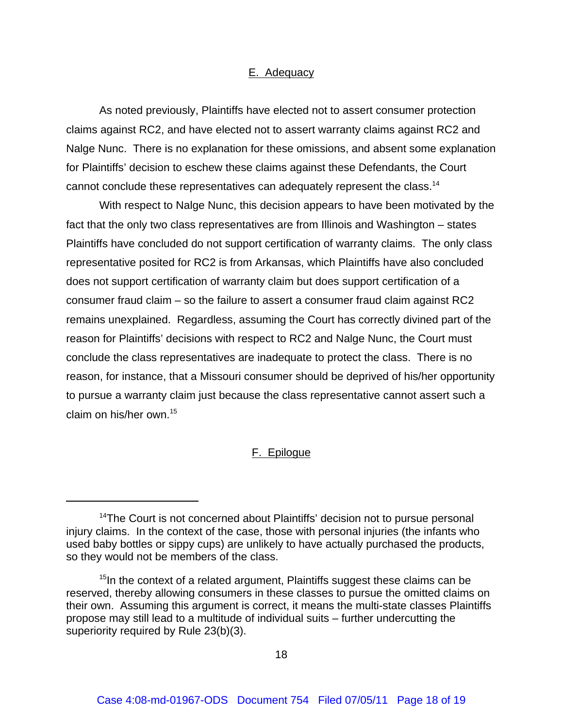## E. Adequacy

As noted previously, Plaintiffs have elected not to assert consumer protection claims against RC2, and have elected not to assert warranty claims against RC2 and Nalge Nunc. There is no explanation for these omissions, and absent some explanation for Plaintiffs' decision to eschew these claims against these Defendants, the Court cannot conclude these representatives can adequately represent the class.<sup>14</sup>

With respect to Nalge Nunc, this decision appears to have been motivated by the fact that the only two class representatives are from Illinois and Washington – states Plaintiffs have concluded do not support certification of warranty claims. The only class representative posited for RC2 is from Arkansas, which Plaintiffs have also concluded does not support certification of warranty claim but does support certification of a consumer fraud claim – so the failure to assert a consumer fraud claim against RC2 remains unexplained. Regardless, assuming the Court has correctly divined part of the reason for Plaintiffs' decisions with respect to RC2 and Nalge Nunc, the Court must conclude the class representatives are inadequate to protect the class. There is no reason, for instance, that a Missouri consumer should be deprived of his/her opportunity to pursue a warranty claim just because the class representative cannot assert such a claim on his/her own.15

# F. Epilogue

<sup>&</sup>lt;sup>14</sup>The Court is not concerned about Plaintiffs' decision not to pursue personal injury claims. In the context of the case, those with personal injuries (the infants who used baby bottles or sippy cups) are unlikely to have actually purchased the products, so they would not be members of the class.

<sup>&</sup>lt;sup>15</sup>In the context of a related argument, Plaintiffs suggest these claims can be reserved, thereby allowing consumers in these classes to pursue the omitted claims on their own. Assuming this argument is correct, it means the multi-state classes Plaintiffs propose may still lead to a multitude of individual suits – further undercutting the superiority required by Rule 23(b)(3).